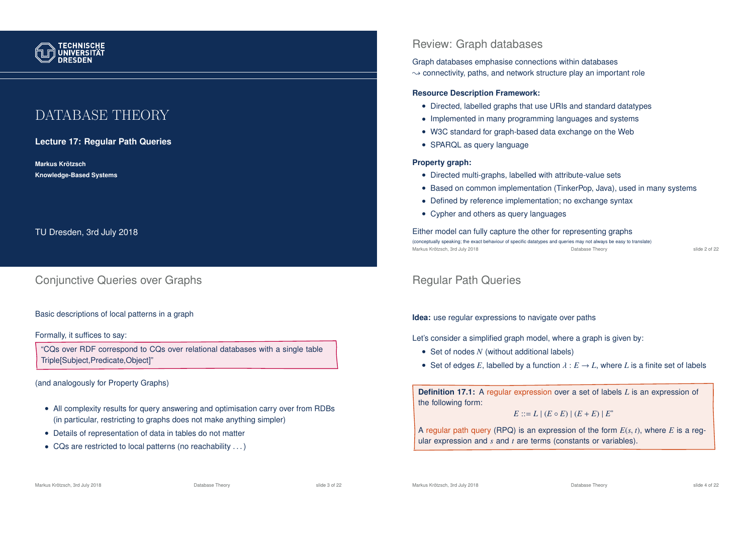

# DATABASE THEORY

#### **Lecture 17: Regular Path Queries**

**Markus Krotzsch ¨ Knowledge-Based Systems**

TU Dresden, 3rd July 2018

## Conjunctive Queries over Graphs

#### Basic descriptions of local patterns in a graph

#### Formally, it suffices to say:

"CQs over RDF correspond to CQs over relational databases with a single table Triple[Subject,Predicate,Object]"

(and analogously for Property Graphs)

- All complexity results for query answering and optimisation carry over from RDBs (in particular, restricting to graphs does not make anything simpler)
- Details of representation of data in tables do not matter
- CQs are restricted to local patterns (no reachability . . . )

### Review: Graph databases

Graph databases emphasise connections within databases  $\rightarrow$  connectivity, paths, and network structure play an important role

#### **Resource Description Framework:**

- Directed, labelled graphs that use URIs and standard datatypes
- Implemented in many programming languages and systems
- W3C standard for graph-based data exchange on the Web
- SPARQL as query language

#### **Property graph:**

- Directed multi-graphs, labelled with attribute-value sets
- Based on common implementation (TinkerPop, Java), used in many systems
- Defined by reference implementation; no exchange syntax
- Cypher and others as query languages

Either model can fully capture the other for representing graphs (conceptually speaking; the exact behaviour of specific datatypes and queries may not always be easy to translate) Markus Krötzsch, 3rd July 2018 Database Theory slide 2 of 22

## Regular Path Queries

#### **Idea:** use regular expressions to navigate over paths

Let's consider a simplified graph model, where a graph is given by:

- Set of nodes N (without additional labels)
- Set of edges *E*, labelled by a function  $\lambda : E \to L$ , where *L* is a finite set of labels

**Definition 17.1:** A regular expression over a set of labels *L* is an expression of the following form:

#### $E := L | (E \circ E) | (E + E) | E^*$

A regular path query (RPQ) is an expression of the form  $E(s, t)$ , where *E* is a regular expression and *s* and *t* are terms (constants or variables).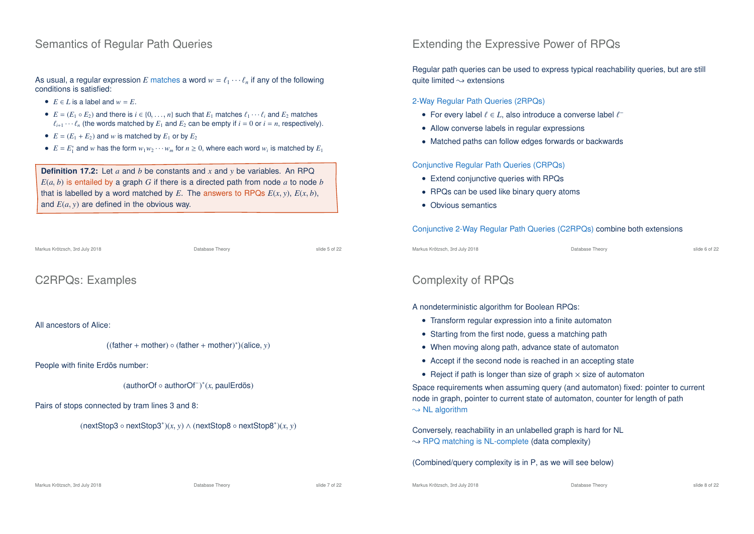## Semantics of Regular Path Queries

As usual, a regular expression *E* matches a word  $w = \ell_1 \cdots \ell_n$  if any of the following conditions is satisfied:

- $F \in I$  is a label and  $w = F$ .
- $E = (E_1 \circ E_2)$  and there is  $i \in \{0, \ldots, n\}$  such that  $E_1$  matches  $\ell_1 \cdots \ell_i$  and  $E_2$  matches  $\ell_{i+1} \cdots \ell_n$  (the words matched by  $E_1$  and  $E_2$  can be empty if  $i = 0$  or  $i = n$ , respectively).
- $E = (E_1 + E_2)$  and *w* is matched by  $E_1$  or by  $E_2$
- $E = E_1^*$  and *w* has the form  $w_1w_2 \cdots w_m$  for  $n \ge 0$ , where each word  $w_i$  is matched by  $E_1$

**Definition 17.2:** Let *a* and *b* be constants and *x* and *y* be variables. An RPQ  $E(a, b)$  is entailed by a graph *G* if there is a directed path from node *a* to node *b* that is labelled by a word matched by *E*. The answers to RPQs  $E(x, y)$ ,  $E(x, b)$ , and *E*(*a*, *y*) are defined in the obvious way.

```
Markus Krötzsch, 3rd July 2018 Database Theory slide 5 of 22
```
## C2RPQs: Examples

#### All ancestors of Alice:

 $((father + mother) \circ (father + mother)^*)(alice, y)$ 

#### People with finite Erdös number:

(authorOf ◦ authorOf<sup>−</sup> ) ∗ (*x*, paulErdös)

#### Pairs of stops connected by tram lines 3 and 8:

(nextStop3 ◦ nextStop3<sup>∗</sup> )(*x*, *y*) ∧ (nextStop8 ◦ nextStop8<sup>∗</sup> )(*x*, *y*)

## Extending the Expressive Power of RPQs

Regular path queries can be used to express typical reachability queries, but are still quite limited  $\rightarrow$  extensions

#### 2-Way Regular Path Queries (2RPQs)

- For every label  $\ell \in L$ , also introduce a converse label  $\ell^-$
- Allow converse labels in regular expressions
- Matched paths can follow edges forwards or backwards

#### Conjunctive Regular Path Queries (CRPQs)

- Extend conjunctive queries with RPQs
- RPQs can be used like binary query atoms
- Obvious semantics

#### Conjunctive 2-Way Regular Path Queries (C2RPQs) combine both extensions

Markus Krötzsch, 3rd July 2018 Database Theory slide 6 of 22

## Complexity of RPQs

A nondeterministic algorithm for Boolean RPQs:

- Transform regular expression into a finite automaton
- Starting from the first node, quess a matching path
- When moving along path, advance state of automaton
- Accept if the second node is reached in an accepting state
- Reject if path is longer than size of graph  $\times$  size of automaton

Space requirements when assuming query (and automaton) fixed: pointer to current node in graph, pointer to current state of automaton, counter for length of path  $\rightarrow$  NL algorithm

Conversely, reachability in an unlabelled graph is hard for NL  $\rightarrow$  RPQ matching is NL-complete (data complexity)

(Combined/query complexity is in P, as we will see below)

Markus Krötzsch, 3rd July 2018 Database Theory slide 8 of 22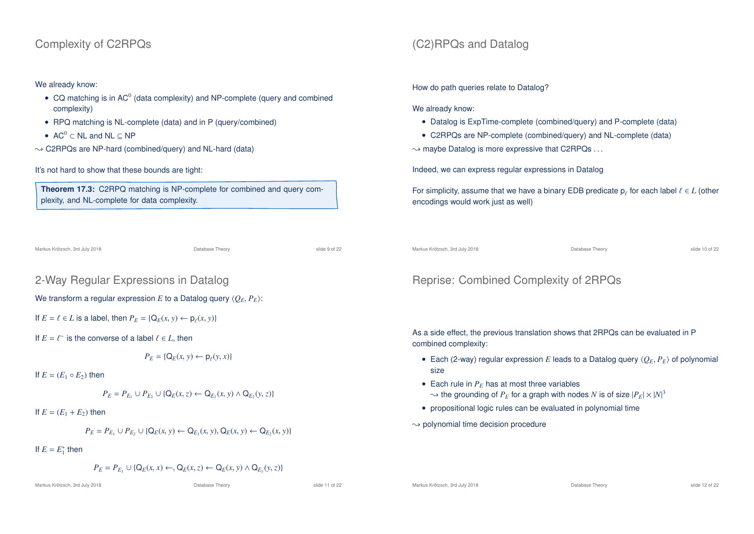## Complexity of C2RPQs

#### We already know:

- CQ matching is in  $AC^0$  (data complexity) and NP-complete (query and combined complexity)
- RPQ matching is NL-complete (data) and in P (query/combined)
- $AC^0 \subset NL$  and  $NL \subset NP$
- $\rightarrow$  C2RPQs are NP-hard (combined/query) and NL-hard (data)

#### It's not hard to show that these bounds are tight:

**Theorem 17.3:** C2RPQ matching is NP-complete for combined and query complexity, and NL-complete for data complexity.

Markus Krötzsch, 3rd July 2018 **Database Theory** Database Theory **Slide 9 of 22** and 22

## 2-Way Regular Expressions in Datalog

We transform a regular expression *E* to a Datalog query  $\langle O_E, P_E \rangle$ :

If  $E = \ell \in L$  is a label, then  $P_E = \{Q_E(x, y) \leftarrow P_{\ell}(x, y)\}$ 

If  $E = \ell^-$  is the converse of a label  $\ell \in L$ , then

$$
P_E = \{Q_E(x, y) \leftarrow p_\ell(y, x)\}
$$

If  $E = (E_1 \circ E_2)$  then

$$
P_E = P_{E_1} \cup P_{E_2} \cup \{Q_E(x, z) \leftarrow Q_{E_1}(x, y) \land Q_{E_2}(y, z)\}
$$

If  $E = (E_1 + E_2)$  then

$$
P_E = P_{E_1} \cup P_{E_2} \cup \{Q_E(x, y) \leftarrow Q_{E_1}(x, y), Q_E(x, y) \leftarrow Q_{E_2}(x, y)\}
$$

If  $E = E_1^*$  then

$$
P_E = P_{E_1} \cup \{ \mathsf{Q}_E(x, x) \leftarrow \mathsf{Q}_E(x, z) \leftarrow \mathsf{Q}_E(x, y) \land \mathsf{Q}_{E_1}(y, z) \}
$$

#### Markus Krötzsch, 3rd July 2018 **Database Theory** Database Theory **Slide 11 of 22** Slide 11 of 22

## (C2)RPQs and Datalog

How do path queries relate to Datalog?

We already know:

- Datalog is ExpTime-complete (combined/query) and P-complete (data)
- C2RPQs are NP-complete (combined/query) and NL-complete (data)
- $\rightarrow$  maybe Datalog is more expressive that C2RPQs ...

Indeed, we can express regular expressions in Datalog

For simplicity, assume that we have a binary EDB predicate  $\bm{{\mathsf{p}}}_\ell$  for each label  $\ell \in L$  (other encodings would work just as well)

Markus Krötzsch, 3rd July 2018 **Database Theory** Database Theory slide 10 of 22

## Reprise: Combined Complexity of 2RPQs

As a side effect, the previous translation shows that 2RPQs can be evaluated in P combined complexity:

- Each (2-way) regular expression *E* leads to a Datalog query  $\langle Q_E, P_E \rangle$  of polynomial size
- Each rule in  $P_F$  has at most three variables
- $\sim$  the grounding of  $P_E$  for a graph with nodes  $N$  is of size  $|P_E| \times |N|^3$
- propositional logic rules can be evaluated in polynomial time

 $\rightarrow$  polynomial time decision procedure

Markus Krötzsch, 3rd July 2018 Database Theory slide 12 of 22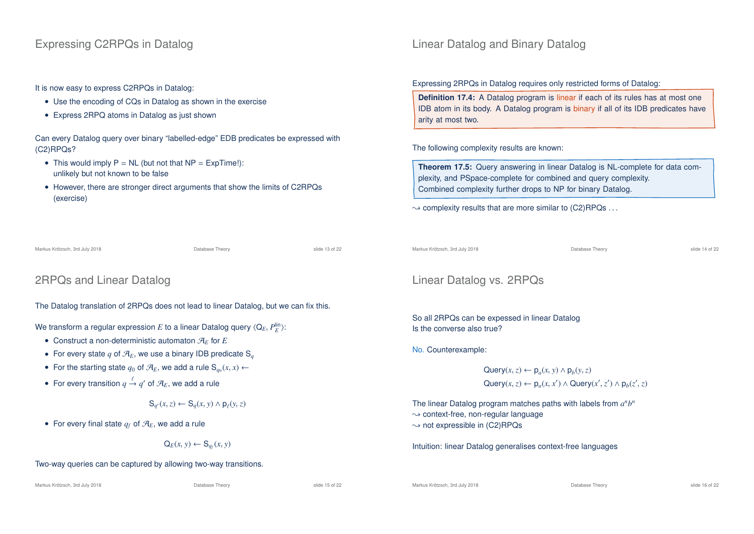## Expressing C2RPQs in Datalog

It is now easy to express C2RPQs in Datalog:

- Use the encoding of CQs in Datalog as shown in the exercise
- Express 2RPQ atoms in Datalog as just shown

Can every Datalog query over binary "labelled-edge" EDB predicates be expressed with (C2)RPQs?

- This would imply  $P = NL$  (but not that  $NP = ExpTime!$ ): unlikely but not known to be false
- However, there are stronger direct arguments that show the limits of C2RPQs (exercise)

#### Markus Krötzsch, 3rd July 2018 Database Theory slide 13 of 22

## 2RPQs and Linear Datalog

The Datalog translation of 2RPQs does not lead to linear Datalog, but we can fix this.

We transform a regular expression *E* to a linear Datalog query  $\langle Q_E, P_E^{\text{lin}} \rangle$ :

- Construct a non-deterministic automaton  $\mathcal{A}_E$  for  $E$
- For every state q of  $\mathcal{A}_E$ , we use a binary IDB predicate S<sub>q</sub>
- For the starting state  $q_0$  of  $\mathcal{A}_E$ , we add a rule  $S_{q_0}(x, x) \leftarrow$
- For every transition  $q \stackrel{\ell}{\rightarrow} q'$  of  $\mathcal{A}_E$ , we add a rule

$$
\mathsf{S}_{q'}(x,z) \leftarrow \mathsf{S}_q(x,y) \land \mathsf{p}_{\ell}(y,z)
$$

• For every final state  $q_f$  of  $\mathcal{A}_F$ , we add a rule

$$
\mathsf{Q}_E(x,y) \leftarrow \mathsf{S}_{q_f}(x,y)
$$

#### Two-way queries can be captured by allowing two-way transitions.

## Linear Datalog and Binary Datalog

Expressing 2RPQs in Datalog requires only restricted forms of Datalog:

**Definition 17.4:** A Datalog program is linear if each of its rules has at most one IDB atom in its body. A Datalog program is binary if all of its IDB predicates have arity at most two.

The following complexity results are known:

**Theorem 17.5:** Query answering in linear Datalog is NL-complete for data complexity, and PSpace-complete for combined and query complexity. Combined complexity further drops to NP for binary Datalog.

 $\rightarrow$  complexity results that are more similar to (C2)RPQs ...

```
Markus Krötzsch, 3rd July 2018 Database Theory slide 14 of 22
```
## Linear Datalog vs. 2RPQs

So all 2RPQs can be expessed in linear Datalog Is the converse also true?

No. Counterexample:

 $\mathsf{Query}(x, z) \leftarrow \mathsf{p}_a(x, y) \land \mathsf{p}_b(y, z)$  $\mathsf{Query}(x, z) \leftarrow \mathsf{p}_a(x, x') \land \mathsf{Query}(x', z') \land \mathsf{p}_b(z', z)$ 

The linear Datalog program matches paths with labels from  $a^n b^n$  $\rightarrow$  context-free, non-regular language  $\rightarrow$  not expressible in (C2)RPQs

Intuition: linear Datalog generalises context-free languages

Markus Krötzsch, 3rd July 2018 Database Theory slide 16 of 22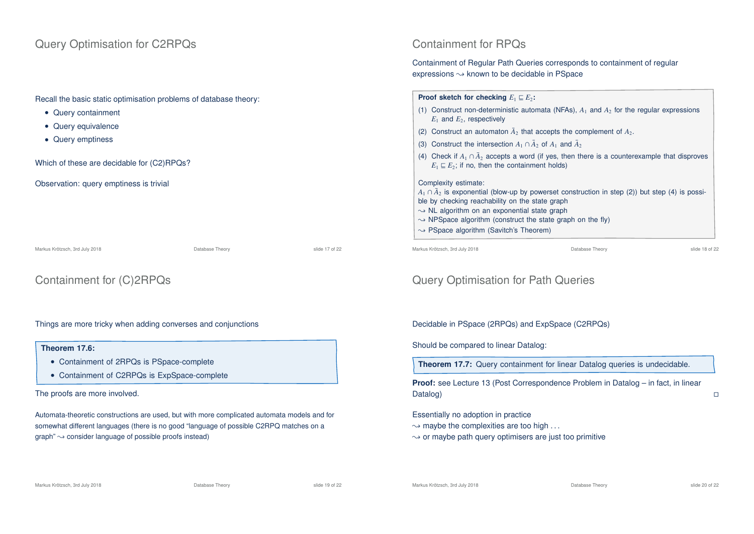### Query Optimisation for C2RPQs

Recall the basic static optimisation problems of database theory:

- Query containment
- Query equivalence
- Query emptiness

Which of these are decidable for (C2)RPQs?

#### Observation: query emptiness is trivial

Markus Krötzsch, 3rd July 2018 Database Theory slide 17 of 22

## Containment for (C)2RPQs

#### Things are more tricky when adding converses and conjunctions

#### **Theorem 17.6:**

- Containment of 2RPQs is PSpace-complete
- Containment of C2RPQs is ExpSpace-complete

The proofs are more involved.

Automata-theoretic constructions are used, but with more complicated automata models and for somewhat different languages (there is no good "language of possible C2RPQ matches on a graph"  $\rightsquigarrow$  consider language of possible proofs instead)

## Containment for RPQs

Containment of Regular Path Queries corresponds to containment of regular expressions  $\rightsquigarrow$  known to be decidable in PSpace

| <b>Proof sketch for checking</b> $E_1 \sqsubseteq E_2$ :                                                                                                                                                                                                                                                                                                                        |                                                                                                              |                |
|---------------------------------------------------------------------------------------------------------------------------------------------------------------------------------------------------------------------------------------------------------------------------------------------------------------------------------------------------------------------------------|--------------------------------------------------------------------------------------------------------------|----------------|
| $E_1$ and $E_2$ , respectively                                                                                                                                                                                                                                                                                                                                                  | (1) Construct non-deterministic automata (NFAs), $A_1$ and $A_2$ for the regular expressions                 |                |
| (2) Construct an automaton $A_2$ that accepts the complement of $A_2$ .                                                                                                                                                                                                                                                                                                         |                                                                                                              |                |
| (3) Construct the intersection $A_1 \cap A_2$ of $A_1$ and $A_2$                                                                                                                                                                                                                                                                                                                |                                                                                                              |                |
| $E_1 \sqsubseteq E_2$ ; if no, then the containment holds)                                                                                                                                                                                                                                                                                                                      | (4) Check if $A_1 \cap \overline{A}_2$ accepts a word (if yes, then there is a counterexample that disproves |                |
| Complexity estimate:<br>$A_1 \cap A_2$ is exponential (blow-up by powerset construction in step (2)) but step (4) is possi-<br>ble by checking reachability on the state graph<br>$\rightsquigarrow$ NL algorithm on an exponential state graph<br>$\rightarrow$ NPSpace algorithm (construct the state graph on the fly)<br>$\rightarrow$ PSpace algorithm (Savitch's Theorem) |                                                                                                              |                |
| Markus Krötzsch, 3rd July 2018                                                                                                                                                                                                                                                                                                                                                  | Database Theory                                                                                              | slide 18 of 22 |

## Query Optimisation for Path Queries

Decidable in PSpace (2RPQs) and ExpSpace (C2RPQs)

Should be compared to linear Datalog:

**Theorem 17.7:** Query containment for linear Datalog queries is undecidable.

**Proof:** see Lecture 13 (Post Correspondence Problem in Datalog – in fact, in linear Datalog)

Essentially no adoption in practice

 $\rightarrow$  maybe the complexities are too high ...

 $\rightarrow$  or maybe path query optimisers are just too primitive

Markus Krötzsch, 3rd July 2018 Database Theory slide 20 of 22